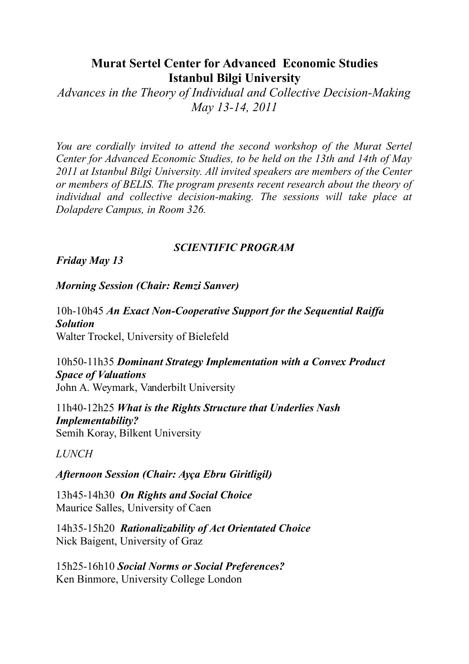## **Murat Sertel Center for Advanced Economic Studies Istanbul Bilgi University**

*Advances in the Theory of Individual and Collective Decision-Making May 13-14, 2011*

*You are cordially invited to attend the second workshop of the Murat Sertel Center for Advanced Economic Studies, to be held on the 13th and 14th of May 2011 at Istanbul Bilgi University. All invited speakers are members of the Center or members of BELIS. The program presents recent research about the theory of individual and collective decision-making. The sessions will take place at Dolapdere Campus, in Room 326.* 

## *SCIENTIFIC PROGRAM*

*Friday May 13*

*Morning Session (Chair: Remzi Sanver)*

10h-10h45 *An Exact Non-Cooperative Support for the Sequential Raiffa Solution* Walter Trockel, University of Bielefeld

10h50-11h35 *Dominant Strategy Implementation with a Convex Product Space of Valuations* John A. Weymark, Vanderbilt University

11h40-12h25 *What is the Rights Structure that Underlies Nash Implementability?*  Semih Koray, Bilkent University

*LUNCH*

*Afternoon Session (Chair: Ayça Ebru Giritligil)* 

13h45-14h30 *On Rights and Social Choice* Maurice Salles, University of Caen

14h35-15h20 *Rationalizability of Act Orientated Choice* Nick Baigent, University of Graz

15h25-16h10 *Social Norms or Social Preferences?* Ken Binmore, University College London